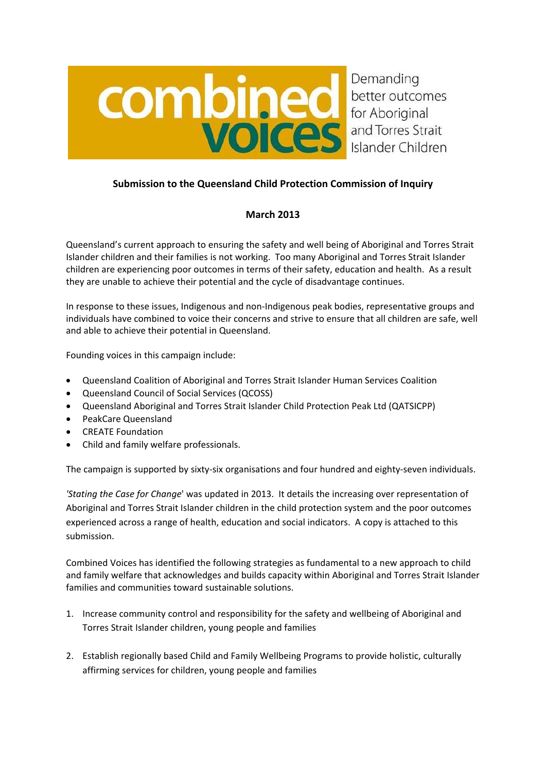

# **Submission to the Queensland Child Protection Commission of Inquiry**

# **March 2013**

Queensland's current approach to ensuring the safety and well being of Aboriginal and Torres Strait Islander children and their families is not working. Too many Aboriginal and Torres Strait Islander children are experiencing poor outcomes in terms of their safety, education and health. As a result they are unable to achieve their potential and the cycle of disadvantage continues.

In response to these issues, Indigenous and non‐Indigenous peak bodies, representative groups and individuals have combined to voice their concerns and strive to ensure that all children are safe, well and able to achieve their potential in Queensland.

Founding voices in this campaign include:

- Queensland Coalition of Aboriginal and Torres Strait Islander Human Services Coalition
- Queensland Council of Social Services (QCOSS)
- Queensland Aboriginal and Torres Strait Islander Child Protection Peak Ltd (QATSICPP)
- PeakCare Queensland
- CREATE Foundation
- Child and family welfare professionals.

The campaign is supported by sixty-six organisations and four hundred and eighty-seven individuals.

*'Stating the Case for Change*' was updated in 2013.It details the increasing over representation of Aboriginal and Torres Strait Islander children in the child protection system and the poor outcomes experienced across a range of health, education and social indicators. A copy is attached to this submission.

Combined Voices has identified the following strategies as fundamental to a new approach to child and family welfare that acknowledges and builds capacity within Aboriginal and Torres Strait Islander families and communities toward sustainable solutions.

- 1. Increase community control and responsibility for the safety and wellbeing of Aboriginal and Torres Strait Islander children, young people and families
- 2. Establish regionally based Child and Family Wellbeing Programs to provide holistic, culturally affirming services for children, young people and families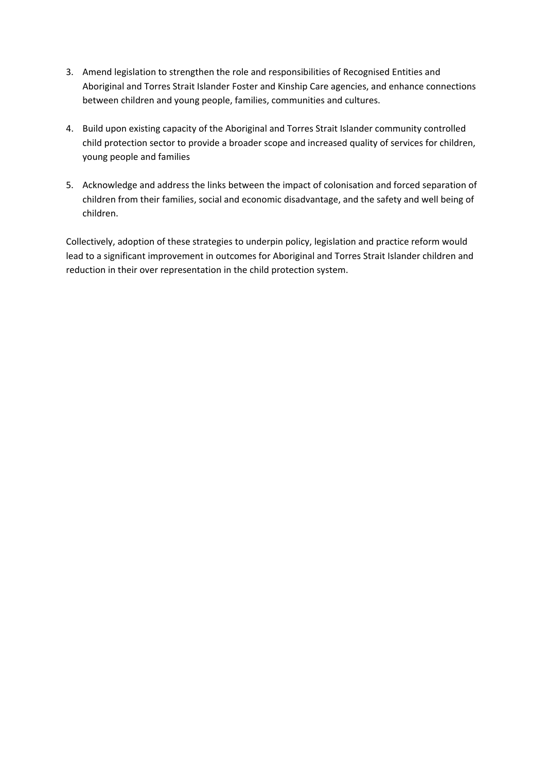- 3. Amend legislation to strengthen the role and responsibilities of Recognised Entities and Aboriginal and Torres Strait Islander Foster and Kinship Care agencies, and enhance connections between children and young people, families, communities and cultures.
- 4. Build upon existing capacity of the Aboriginal and Torres Strait Islander community controlled child protection sector to provide a broader scope and increased quality of services for children, young people and families
- 5. Acknowledge and address the links between the impact of colonisation and forced separation of children from their families, social and economic disadvantage, and the safety and well being of children.

Collectively, adoption of these strategies to underpin policy, legislation and practice reform would lead to a significant improvement in outcomes for Aboriginal and Torres Strait Islander children and reduction in their over representation in the child protection system.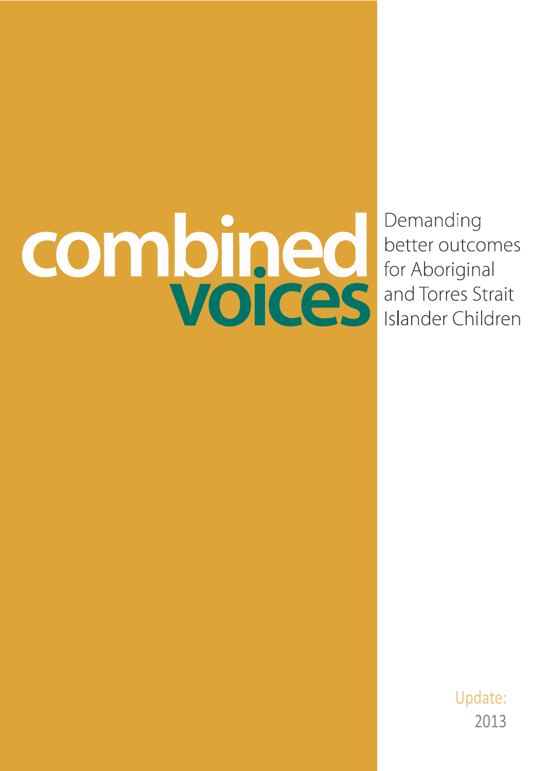# combined

Demanding better outcomes for Aboriginal and Torres Strait Islander Children

> Update: 201 3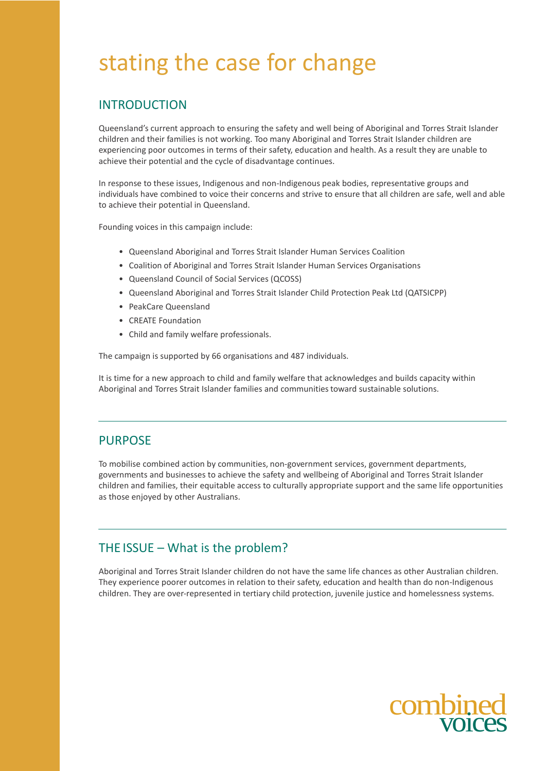# stating the case for change

# INTRODUCTION

Queensland's current approach to ensuring the safety and well being of Aboriginal and Torres Strait Islander children and their families is not working. Too many Aboriginal and Torres Strait Islander children are experiencing poor outcomes in terms of their safety, education and health. As a result they are unable to achieve their potential and the cycle of disadvantage continues.

In response to these issues, Indigenous and non-Indigenous peak bodies, representative groups and individuals have combined to voice their concerns and strive to ensure that all children are safe, well and able to achieve their potential in Queensland.

Founding voices in this campaign include:

- Queensland Aboriginal and Torres Strait Islander Human Services Coalition
- Coalition of Aboriginal and Torres Strait Islander Human Services Organisations
- Queensland Council of Social Services (QCOSS)
- Queensland Aboriginal and Torres Strait Islander Child Protection Peak Ltd (QATSICPP)
- PeakCare Queensland
- CREATE Foundation
- Child and family welfare professionals.

The campaign is supported by 66 organisations and 487 individuals.

It is time for a new approach to child and family welfare that acknowledges and builds capacity within Aboriginal and Torres Strait Islander families and communitiestoward sustainable solutions.

# PURPOSE

To mobilise combined action by communities, non-government services, government departments, governments and businesses to achieve the safety and wellbeing of Aboriginal and Torres Strait Islander children and families, their equitable access to culturally appropriate support and the same life opportunities as those enjoyed by other Australians.

# THE ISSUE – What is the problem?

Aboriginal and Torres Strait Islander children do not have the same life chances as other Australian children. They experience poorer outcomes in relation to their safety, education and health than do non-Indigenous children. They are over-represented in tertiary child protection, juvenile justice and homelessness systems.

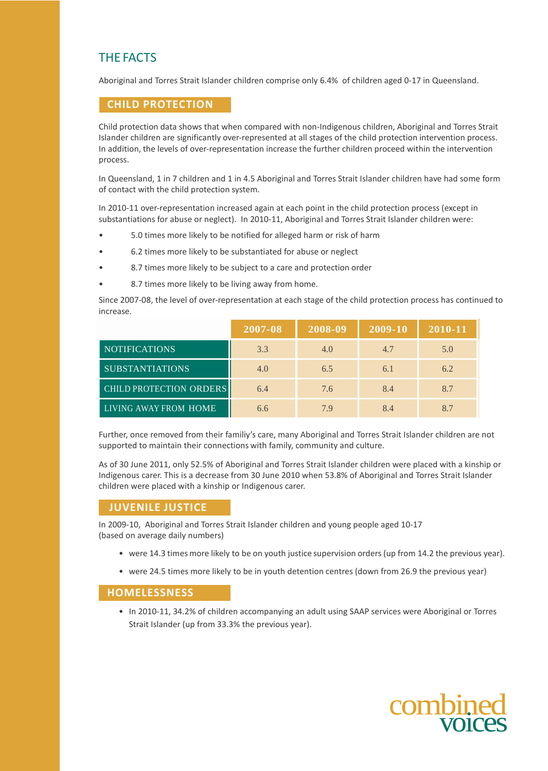# THE FACTS

Aboriginal and Torres Strait Islander children comprise only 6.4% of children aged 0-17 in Queensland.

## **CHILD PROTECTION**

Child protection data shows that when compared with non-Indigenous children, Aboriginal and Torres Strait Islander children are significantly over-represented at all stages of the child protection intervention process. In addition, the levels of over-representation increase the further children proceed within the intervention process.

In Queensland, 1 in 7 children and 1 in 4.5 Aboriginal and Torres Strait Islander children have had some form of contact with the child protection system.

In 2010-11 over-representation increased again at each point in the child protection process (except in substantiations for abuse or neglect). In 2010-11, Aboriginal and Torres Strait Islander children were:

- 5.0 times more likely to be notified for alleged harm or risk of harm
- 6.2 times more likely to be substantiated for abuse or neglect
- 8.7 times more likely to be subject to a care and protection order
- 8.7 times more likely to be living away from home.

Since 2007-08, the level of over-representation at each stage of the child protection process has continued to increase.

|                         | 2007-08 | 2008-09 | 2009-10 | 2010-11 |
|-------------------------|---------|---------|---------|---------|
| <b>NOTIFICATIONS</b>    | 3.3     | 4.0     | 4.7     | 5.0     |
| <b>SUBSTANTIATIONS</b>  | 4.0     | 6.5     | 6.1     | 6.2     |
| CHILD PROTECTION ORDERS | 6.4     | 7.6     | 8.4     | 8.7     |
| LIVING AWAY FROM HOME   | 6.6     | 79      | 8.4     | 87      |

Further, once removed from their familiy's care, many Aboriginal and Torres Strait Islander children are not supported to maintain their connections with family, community and culture.

As of 30 June 2011, only 52.5% of Aboriginal and Torres Strait Islander children were placed with a kinship or Indigenous carer. This is a decrease from 30 June 2010 when 53.8% of Aboriginal and Torres Strait Islander children were placed with a kinship or Indigenous carer.

# **JUVENILE JUSTICE**

In 2009-10, Aboriginal and Torres Strait Islander children and young people aged 10-17 (based on average daily numbers)

- were 14.3 times more likely to be on youth justice supervision orders (up from 14.2 the previous year).
- were 24.5 times more likely to be in youth detention centres (down from 26.9 the previous year)

### **HOMELESSNESS**

• In 2010-11, 34.2% of children accompanying an adult using SAAP services were Aboriginal or Torres Strait Islander (up from 33.3% the previous year).

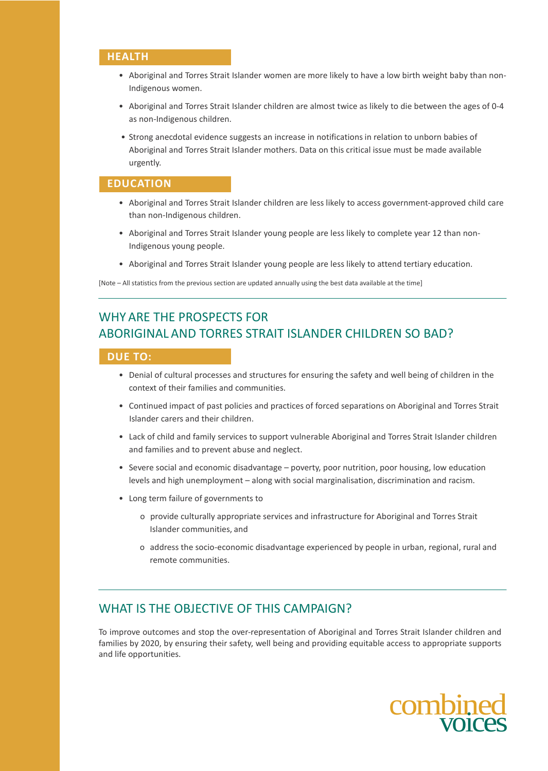### **HEALTH**

- Aboriginal and Torres Strait Islander women are more likely to have a low birth weight baby than non-Indigenous women.
- Aboriginal and Torres Strait Islander children are almost twice as likely to die between the ages of 0-4 as non-Indigenous children.
- Strong anecdotal evidence suggests an increase in notificationsin relation to unborn babies of Aboriginal and Torres Strait Islander mothers. Data on this critical issue must be made available urgently.

### **EDUCATION**

- Aboriginal and Torres Strait Islander children are less likely to access government-approved child care than non-Indigenous children.
- Aboriginal and Torres Strait Islander young people are less likely to complete year 12 than non-Indigenous young people.
- Aboriginal and Torres Strait Islander young people are less likely to attend tertiary education.

[Note – All statistics from the previous section are updated annually using the best data available at the time]

# WHY ARE THE PROSPECTS FOR ABORIGINAL AND TORRES STRAIT ISLANDER CHILDREN SO BAD?

### **DUE TO:**

- Denial of cultural processes and structures for ensuring the safety and well being of children in the context of their families and communities.
- Continued impact of past policies and practices of forced separations on Aboriginal and Torres Strait Islander carers and their children.
- Lack of child and family services to support vulnerable Aboriginal and Torres Strait Islander children and families and to prevent abuse and neglect.
- Severe social and economic disadvantage poverty, poor nutrition, poor housing, low education levels and high unemployment – along with social marginalisation, discrimination and racism.
- Long term failure of governments to
	- o provide culturally appropriate services and infrastructure for Aboriginal and Torres Strait Islander communities, and
	- o address the socio-economic disadvantage experienced by people in urban, regional, rural and remote communities.

# WHAT IS THE OBJECTIVE OF THIS CAMPAIGN?

To improve outcomes and stop the over-representation of Aboriginal and Torres Strait Islander children and families by 2020, by ensuring their safety, well being and providing equitable access to appropriate supports and life opportunities.

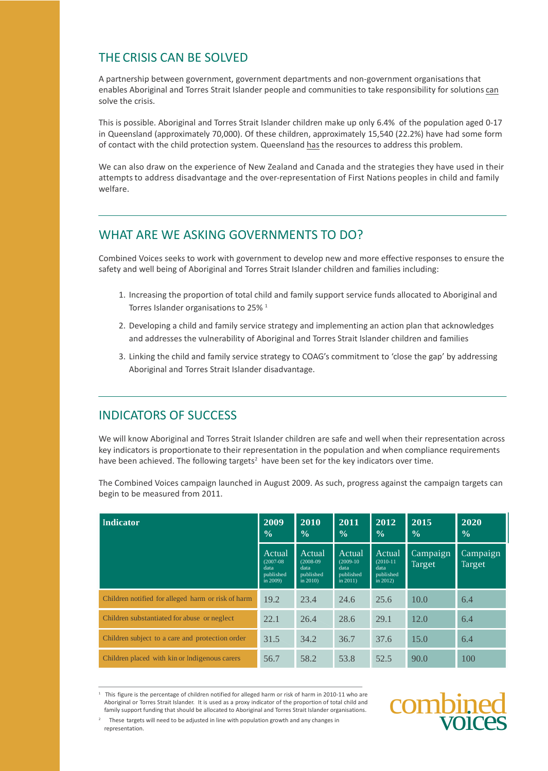# THE CRISIS CAN BE SOLVED

A partnership between government, government departments and non-government organisations that enables Aboriginal and Torres Strait Islander people and communitiesto take responsibility for solutions can solve the crisis.

This is possible. Aboriginal and Torres Strait Islander children make up only 6.4% of the population aged 0-17 in Queensland (approximately 70,000). Of these children, approximately 15,540 (22.2%) have had some form of contact with the child protection system. Queensland has the resources to address this problem.

We can also draw on the experience of New Zealand and Canada and the strategies they have used in their attempts to address disadvantage and the over-representation of First Nations peoples in child and family welfare.

# WHAT ARE WE ASKING GOVERNMENTS TO DO?

Combined Voices seeks to work with government to develop new and more effective responses to ensure the safety and well being of Aboriginal and Torres Strait Islander children and families including:

- 1. Increasing the proportion of total child and family support service funds allocated to Aboriginal and Torres Islander organisations to 25%<sup>1</sup>
- 2. Developing a child and family service strategy and implementing an action plan that acknowledges and addresses the vulnerability of Aboriginal and Torres Strait Islander children and families
- 3. Linking the child and family service strategy to COAG's commitment to 'close the gap' by addressing Aboriginal and Torres Strait Islander disadvantage.

# INDICATORS OF SUCCESS

We will know Aboriginal and Torres Strait Islander children are safe and well when their representation across key indicators is proportionate to their representation in the population and when compliance requirements have been achieved. The following targets<sup>2</sup> have been set for the key indicators over time.

| Indicator                                          | 2009<br>$\frac{0}{0}$                                     | 2010<br>$\frac{0}{0}$                                     | $20\overline{11}$<br>$\frac{0}{0}$                        | 2012<br>$\frac{0}{0}$                                     | 2015<br>$\frac{0}{0}$ | 2020<br>$\frac{0}{0}$ |
|----------------------------------------------------|-----------------------------------------------------------|-----------------------------------------------------------|-----------------------------------------------------------|-----------------------------------------------------------|-----------------------|-----------------------|
|                                                    | Actual<br>$(2007-08)$<br>data<br>published<br>in $2009$ ) | Actual<br>$(2008-09)$<br>data<br>published<br>in $2010$ ) | Actual<br>$(2009-10)$<br>data<br>published<br>in $2011$ ) | Actual<br>$(2010-11)$<br>data<br>published<br>in $2012$ ) | Campaign<br>Target    | Campaign<br>Target    |
| Children notified for alleged harm or risk of harm | 19.2                                                      | 23.4                                                      | 24.6                                                      | 25.6                                                      | 10.0                  | 6.4                   |
| Children substantiated for abuse or neglect        | 22.1                                                      | 26.4                                                      | 28.6                                                      | 29.1                                                      | 12.0                  | 6.4                   |
| Children subject to a care and protection order    | 31.5                                                      | 34.2                                                      | 36.7                                                      | 37.6                                                      | 15.0                  | 6.4                   |
| Children placed with kin or Indigenous carers      | 56.7                                                      | 58.2                                                      | 53.8                                                      | 52.5                                                      | 90.0                  | 100                   |

The Combined Voices campaign launched in August 2009. As such, progress against the campaign targets can begin to be measured from 2011.

<sup>1</sup> This figure is the percentage of children notified for alleged harm or risk of harm in 2010-11 who are Aboriginal or Torres Strait Islander. It is used as a proxy indicator of the proportion of total child and This figure is the percentage of children notified for alleged harm or risk of harm in 2010-11 who are<br>Aboriginal or Torres Strait Islander. It is used as a proxy indicator of the proportion of total child and<br>family suppo



representation.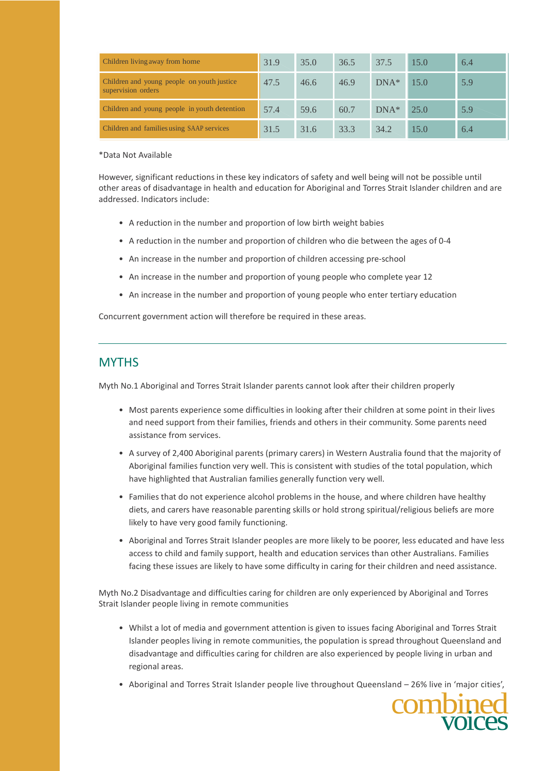| Children living away from home                                   | 31.9 | 35.0 | 36.5 | 37.5    | 15.0 | 6.4 |
|------------------------------------------------------------------|------|------|------|---------|------|-----|
| Children and young people on youth justice<br>supervision orders | 47.5 | 46.6 | 46.9 | $DNA^*$ | 15.0 | 5.9 |
| Children and young people in youth detention                     | 57.4 | 59.6 | 60.7 | $DNA^*$ | 25.0 | 5.9 |
| Children and families using SAAP services                        | 31.5 | 31.6 | 33.3 | 34.2    | 15.0 | 6.4 |

### \*Data Not Available

However, significant reductions in these key indicators of safety and well being will not be possible until other areas of disadvantage in health and education for Aboriginal and Torres Strait Islander children and are addressed. Indicators include:

- A reduction in the number and proportion of low birth weight babies
- A reduction in the number and proportion of children who die between the ages of 0-4
- An increase in the number and proportion of children accessing pre-school
- An increase in the number and proportion of young people who complete year 12
- An increase in the number and proportion of young people who enter tertiary education

Concurrent government action will therefore be required in these areas.

# **MYTHS**

Myth No.1 Aboriginal and Torres Strait Islander parents cannot look after their children properly

- Most parents experience some difficulties in looking after their children at some point in their lives and need support from their families, friends and others in their community. Some parents need assistance from services.
- A survey of 2,400 Aboriginal parents (primary carers) in Western Australia found that the majority of Aboriginal families function very well. This is consistent with studies of the total population, which have highlighted that Australian families generally function very well.
- Families that do not experience alcohol problems in the house, and where children have healthy diets, and carers have reasonable parenting skills or hold strong spiritual/religious beliefs are more likely to have very good family functioning.
- Aboriginal and Torres Strait Islander peoples are more likely to be poorer, less educated and have less access to child and family support, health and education services than other Australians. Families facing these issues are likely to have some difficulty in caring for their children and need assistance.

Myth No.2 Disadvantage and difficulties caring for children are only experienced by Aboriginal and Torres Strait Islander people living in remote communities

- Whilst a lot of media and government attention is given to issues facing Aboriginal and Torres Strait Islander peoples living in remote communities, the population is spread throughout Queensland and disadvantage and difficulties caring for children are also experienced by people living in urban and regional areas.
- Aboriginal and Torres Strait Islander people live throughout Queensland 26% live in 'major cities',

**combined** voices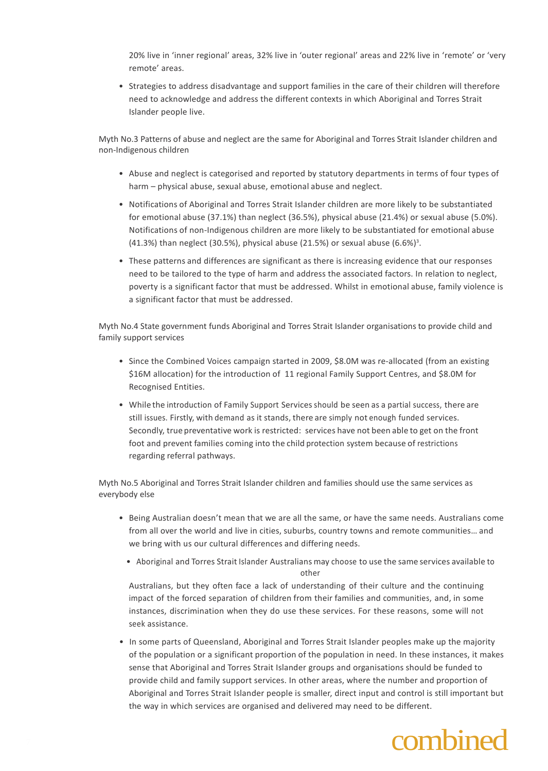20% live in 'inner regional' areas, 32% live in 'outer regional' areas and 22% live in 'remote' or 'very remote' areas.

• Strategies to address disadvantage and support families in the care of their children will therefore need to acknowledge and address the different contexts in which Aboriginal and Torres Strait Islander people live.

Myth No.3 Patterns of abuse and neglect are the same for Aboriginal and Torres Strait Islander children and non-Indigenous children

- Abuse and neglect is categorised and reported by statutory departments in terms of four types of harm – physical abuse, sexual abuse, emotional abuse and neglect.
- Notifications of Aboriginal and Torres Strait Islander children are more likely to be substantiated for emotional abuse (37.1%) than neglect (36.5%), physical abuse (21.4%) or sexual abuse (5.0%). Notifications of non-Indigenous children are more likely to be substantiated for emotional abuse (41.3%) than neglect (30.5%), physical abuse (21.5%) or sexual abuse (6.6%) 3 .
- These patterns and differences are significant as there is increasing evidence that our responses need to be tailored to the type of harm and address the associated factors. In relation to neglect, poverty is a significant factor that must be addressed. Whilst in emotional abuse, family violence is a significant factor that must be addressed.

Myth No.4 State government funds Aboriginal and Torres Strait Islander organisations to provide child and family support services

- Since the Combined Voices campaign started in 2009, \$8.0M was re-allocated (from an existing \$16M allocation) for the introduction of 11 regional Family Support Centres, and \$8.0M for Recognised Entities.
- While the introduction of Family Support Servicesshould be seen as a partial success, there are still issues. Firstly, with demand as it stands, there are simply not enough funded services. Secondly, true preventative work is restricted: services have not been able to get on the front foot and prevent families coming into the child protection system because of restrictions regarding referral pathways.

Myth No.5 Aboriginal and Torres Strait Islander children and families should use the same services as everybody else

- Being Australian doesn't mean that we are all the same, or have the same needs. Australians come from all over the world and live in cities, suburbs, country towns and remote communities… and we bring with us our cultural differences and differing needs.
	- Aboriginal and Torres Strait Islander Australians may choose to use the same services available to other

Australians, but they often face a lack of understanding of their culture and the continuing impact of the forced separation of children from their families and communities, and, in some instances, discrimination when they do use these services. For these reasons, some will not seek assistance.

• In some parts of Queensland, Aboriginal and Torres Strait Islander peoples make up the majority of the population or a significant proportion of the population in need. In these instances, it makes sense that Aboriginal and Torres Strait Islander groups and organisations should be funded to provide child and family support services. In other areas, where the number and proportion of Aboriginal and Torres Strait Islander people is smaller, direct input and control is still important but the way in which services are organised and delivered may need to be different.

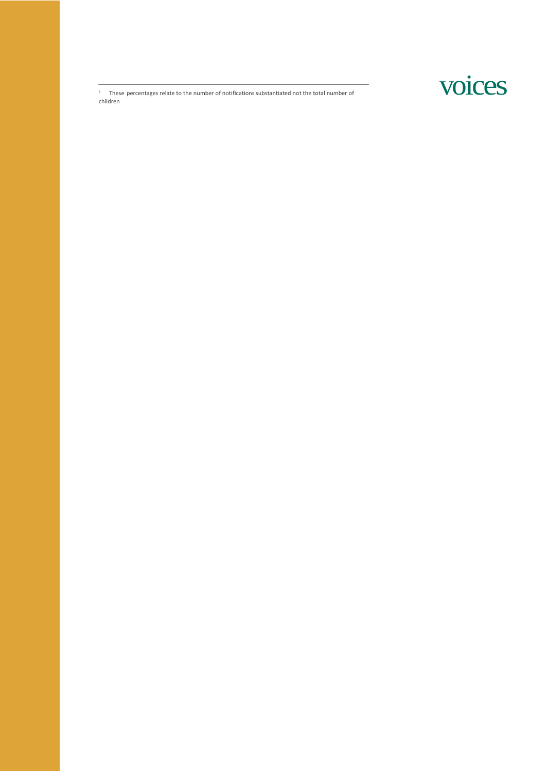voices

<sup>3</sup> These percentages relate to the number of notifications substantiated not the total number of children